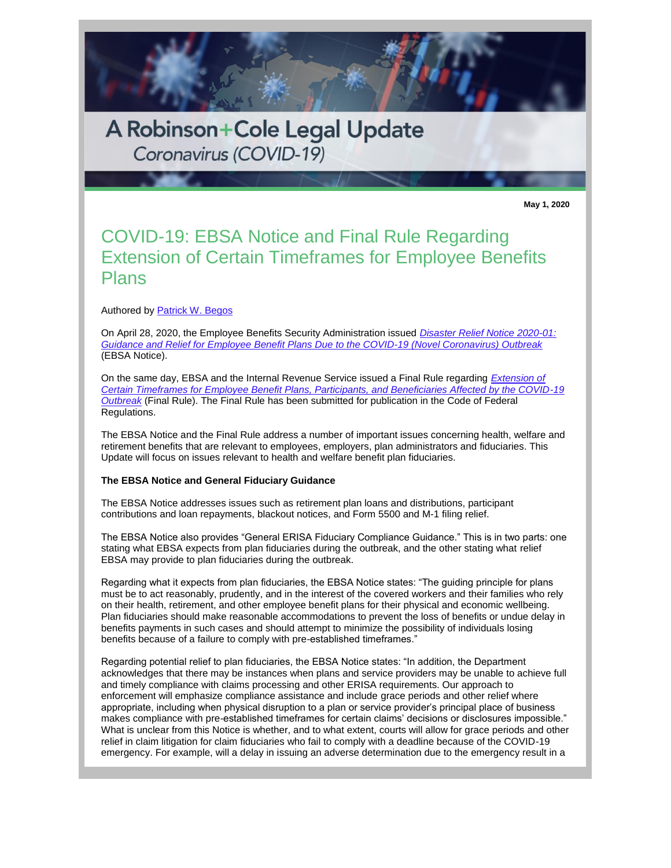

**May 1, 2020**

# COVID-19: EBSA Notice and Final Rule Regarding Extension of Certain Timeframes for Employee Benefits Plans

Authored by [Patrick W. Begos](https://protect-us.mimecast.com/s/W7L5CKrGoRiDODA8sAXWNN?domain=rc.com)

On April 28, 2020, the Employee Benefits Security Administration issued *[Disaster Relief Notice 2020-01:](https://protect-us.mimecast.com/s/z4z7CL9GpRikKkoNujy3m6?domain=dol.gov)  [Guidance and Relief for Employee Benefit Plans Due to the COVID-19 \(Novel Coronavirus\) Outbreak](https://protect-us.mimecast.com/s/z4z7CL9GpRikKkoNujy3m6?domain=dol.gov)* (EBSA Notice).

On the same day, EBSA and the Internal Revenue Service issued a Final Rule regarding *[Extension of](https://protect-us.mimecast.com/s/oZGnCM8Xq6H2X2oxt1h2E8?domain=federalregister.gov)  [Certain Timeframes for Employee Benefit Plans, Participants, and Beneficiaries Affected by the COVID-19](https://protect-us.mimecast.com/s/oZGnCM8Xq6H2X2oxt1h2E8?domain=federalregister.gov)  [Outbreak](https://protect-us.mimecast.com/s/oZGnCM8Xq6H2X2oxt1h2E8?domain=federalregister.gov)* (Final Rule). The Final Rule has been submitted for publication in the Code of Federal Regulations.

The EBSA Notice and the Final Rule address a number of important issues concerning health, welfare and retirement benefits that are relevant to employees, employers, plan administrators and fiduciaries. This Update will focus on issues relevant to health and welfare benefit plan fiduciaries.

## **The EBSA Notice and General Fiduciary Guidance**

The EBSA Notice addresses issues such as retirement plan loans and distributions, participant contributions and loan repayments, blackout notices, and Form 5500 and M-1 filing relief.

The EBSA Notice also provides "General ERISA Fiduciary Compliance Guidance." This is in two parts: one stating what EBSA expects from plan fiduciaries during the outbreak, and the other stating what relief EBSA may provide to plan fiduciaries during the outbreak.

Regarding what it expects from plan fiduciaries, the EBSA Notice states: "The guiding principle for plans must be to act reasonably, prudently, and in the interest of the covered workers and their families who rely on their health, retirement, and other employee benefit plans for their physical and economic wellbeing. Plan fiduciaries should make reasonable accommodations to prevent the loss of benefits or undue delay in benefits payments in such cases and should attempt to minimize the possibility of individuals losing benefits because of a failure to comply with pre-established timeframes."

Regarding potential relief to plan fiduciaries, the EBSA Notice states: "In addition, the Department acknowledges that there may be instances when plans and service providers may be unable to achieve full and timely compliance with claims processing and other ERISA requirements. Our approach to enforcement will emphasize compliance assistance and include grace periods and other relief where appropriate, including when physical disruption to a plan or service provider's principal place of business makes compliance with pre-established timeframes for certain claims' decisions or disclosures impossible." What is unclear from this Notice is whether, and to what extent, courts will allow for grace periods and other relief in claim litigation for claim fiduciaries who fail to comply with a deadline because of the COVID-19 emergency. For example, will a delay in issuing an adverse determination due to the emergency result in a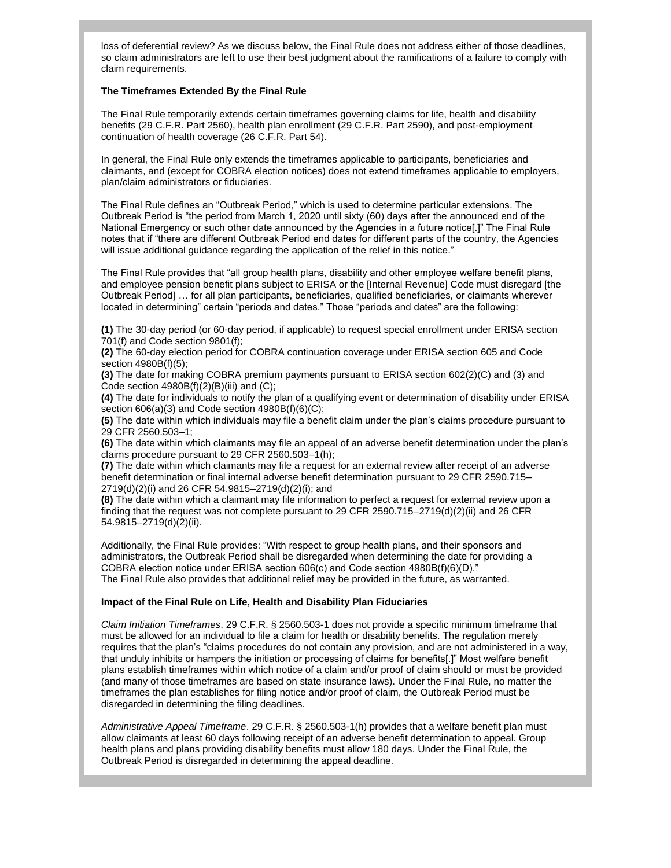loss of deferential review? As we discuss below, the Final Rule does not address either of those deadlines, so claim administrators are left to use their best judgment about the ramifications of a failure to comply with claim requirements.

# **The Timeframes Extended By the Final Rule**

The Final Rule temporarily extends certain timeframes governing claims for life, health and disability benefits (29 C.F.R. Part 2560), health plan enrollment (29 C.F.R. Part 2590), and post-employment continuation of health coverage (26 C.F.R. Part 54).

In general, the Final Rule only extends the timeframes applicable to participants, beneficiaries and claimants, and (except for COBRA election notices) does not extend timeframes applicable to employers, plan/claim administrators or fiduciaries.

The Final Rule defines an "Outbreak Period," which is used to determine particular extensions. The Outbreak Period is "the period from March 1, 2020 until sixty (60) days after the announced end of the National Emergency or such other date announced by the Agencies in a future notice[.]" The Final Rule notes that if "there are different Outbreak Period end dates for different parts of the country, the Agencies will issue additional guidance regarding the application of the relief in this notice."

The Final Rule provides that "all group health plans, disability and other employee welfare benefit plans, and employee pension benefit plans subject to ERISA or the [Internal Revenue] Code must disregard [the Outbreak Period] … for all plan participants, beneficiaries, qualified beneficiaries, or claimants wherever located in determining" certain "periods and dates." Those "periods and dates" are the following:

**(1)** The 30-day period (or 60-day period, if applicable) to request special enrollment under ERISA section 701(f) and Code section 9801(f);

**(2)** The 60-day election period for COBRA continuation coverage under ERISA section 605 and Code section 4980B(f)(5);

**(3)** The date for making COBRA premium payments pursuant to ERISA section 602(2)(C) and (3) and Code section  $4980B(f)(2)(B)(iii)$  and  $(C);$ 

**(4)** The date for individuals to notify the plan of a qualifying event or determination of disability under ERISA section 606(a)(3) and Code section 4980B(f)(6)(C);

**(5)** The date within which individuals may file a benefit claim under the plan's claims procedure pursuant to 29 CFR 2560.503–1;

**(6)** The date within which claimants may file an appeal of an adverse benefit determination under the plan's claims procedure pursuant to 29 CFR 2560.503–1(h);

**(7)** The date within which claimants may file a request for an external review after receipt of an adverse benefit determination or final internal adverse benefit determination pursuant to 29 CFR 2590.715– 2719(d)(2)(i) and 26 CFR 54.9815–2719(d)(2)(i); and

**(8)** The date within which a claimant may file information to perfect a request for external review upon a finding that the request was not complete pursuant to 29 CFR 2590.715–2719(d)(2)(ii) and 26 CFR 54.9815–2719(d)(2)(ii).

Additionally, the Final Rule provides: "With respect to group health plans, and their sponsors and administrators, the Outbreak Period shall be disregarded when determining the date for providing a COBRA election notice under ERISA section 606(c) and Code section 4980B(f)(6)(D)." The Final Rule also provides that additional relief may be provided in the future, as warranted.

## **Impact of the Final Rule on Life, Health and Disability Plan Fiduciaries**

*Claim Initiation Timeframes*. 29 C.F.R. § 2560.503-1 does not provide a specific minimum timeframe that must be allowed for an individual to file a claim for health or disability benefits. The regulation merely requires that the plan's "claims procedures do not contain any provision, and are not administered in a way, that unduly inhibits or hampers the initiation or processing of claims for benefits[.]" Most welfare benefit plans establish timeframes within which notice of a claim and/or proof of claim should or must be provided (and many of those timeframes are based on state insurance laws). Under the Final Rule, no matter the timeframes the plan establishes for filing notice and/or proof of claim, the Outbreak Period must be disregarded in determining the filing deadlines.

*Administrative Appeal Timeframe*. 29 C.F.R. § 2560.503-1(h) provides that a welfare benefit plan must allow claimants at least 60 days following receipt of an adverse benefit determination to appeal. Group health plans and plans providing disability benefits must allow 180 days. Under the Final Rule, the Outbreak Period is disregarded in determining the appeal deadline.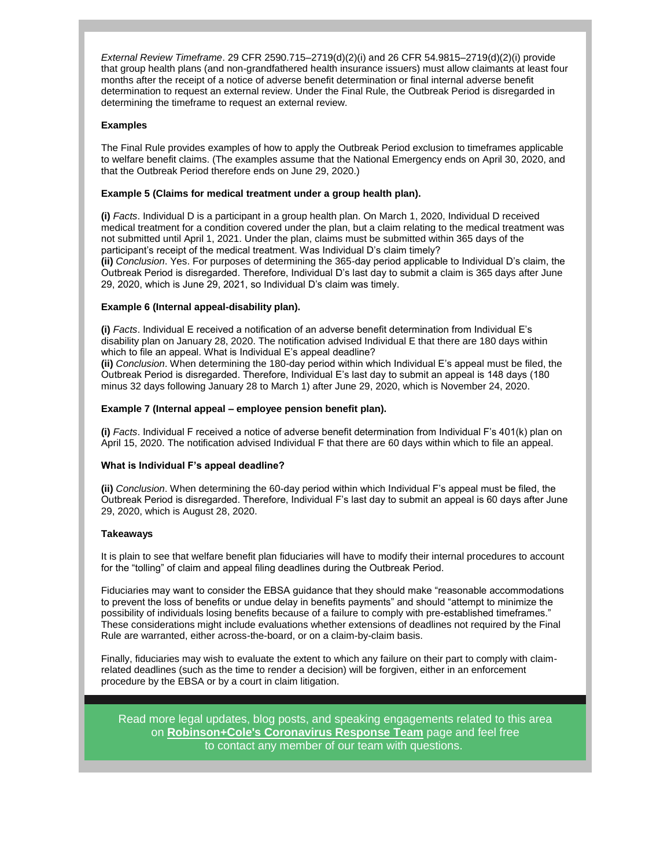*External Review Timeframe*. 29 CFR 2590.715–2719(d)(2)(i) and 26 CFR 54.9815–2719(d)(2)(i) provide that group health plans (and non-grandfathered health insurance issuers) must allow claimants at least four months after the receipt of a notice of adverse benefit determination or final internal adverse benefit determination to request an external review. Under the Final Rule, the Outbreak Period is disregarded in determining the timeframe to request an external review.

# **Examples**

The Final Rule provides examples of how to apply the Outbreak Period exclusion to timeframes applicable to welfare benefit claims. (The examples assume that the National Emergency ends on April 30, 2020, and that the Outbreak Period therefore ends on June 29, 2020.)

# **Example 5 (Claims for medical treatment under a group health plan).**

**(i)** *Facts*. Individual D is a participant in a group health plan. On March 1, 2020, Individual D received medical treatment for a condition covered under the plan, but a claim relating to the medical treatment was not submitted until April 1, 2021. Under the plan, claims must be submitted within 365 days of the participant's receipt of the medical treatment. Was Individual D's claim timely?

**(ii)** *Conclusion*. Yes. For purposes of determining the 365-day period applicable to Individual D's claim, the Outbreak Period is disregarded. Therefore, Individual D's last day to submit a claim is 365 days after June 29, 2020, which is June 29, 2021, so Individual D's claim was timely.

## **Example 6 (Internal appeal-disability plan).**

**(i)** *Facts*. Individual E received a notification of an adverse benefit determination from Individual E's disability plan on January 28, 2020. The notification advised Individual E that there are 180 days within which to file an appeal. What is Individual E's appeal deadline?

**(ii)** *Conclusion*. When determining the 180-day period within which Individual E's appeal must be filed, the Outbreak Period is disregarded. Therefore, Individual E's last day to submit an appeal is 148 days (180 minus 32 days following January 28 to March 1) after June 29, 2020, which is November 24, 2020.

## **Example 7 (Internal appeal – employee pension benefit plan).**

**(i)** *Facts*. Individual F received a notice of adverse benefit determination from Individual F's 401(k) plan on April 15, 2020. The notification advised Individual F that there are 60 days within which to file an appeal.

## **What is Individual F's appeal deadline?**

**(ii)** *Conclusion*. When determining the 60-day period within which Individual F's appeal must be filed, the Outbreak Period is disregarded. Therefore, Individual F's last day to submit an appeal is 60 days after June 29, 2020, which is August 28, 2020.

## **Takeaways**

It is plain to see that welfare benefit plan fiduciaries will have to modify their internal procedures to account for the "tolling" of claim and appeal filing deadlines during the Outbreak Period.

Fiduciaries may want to consider the EBSA guidance that they should make "reasonable accommodations to prevent the loss of benefits or undue delay in benefits payments" and should "attempt to minimize the possibility of individuals losing benefits because of a failure to comply with pre-established timeframes." These considerations might include evaluations whether extensions of deadlines not required by the Final Rule are warranted, either across-the-board, or on a claim-by-claim basis.

Finally, fiduciaries may wish to evaluate the extent to which any failure on their part to comply with claimrelated deadlines (such as the time to render a decision) will be forgiven, either in an enforcement procedure by the EBSA or by a court in claim litigation.

Read more legal updates, blog posts, and speaking engagements related to this area on **[Robinson+Cole's Coronavirus Response Team](https://protect-us.mimecast.com/s/UCmxCJ61nRfBZB4pszsqzH?domain=rc.com)** page and feel free to contact any member of our team with questions.